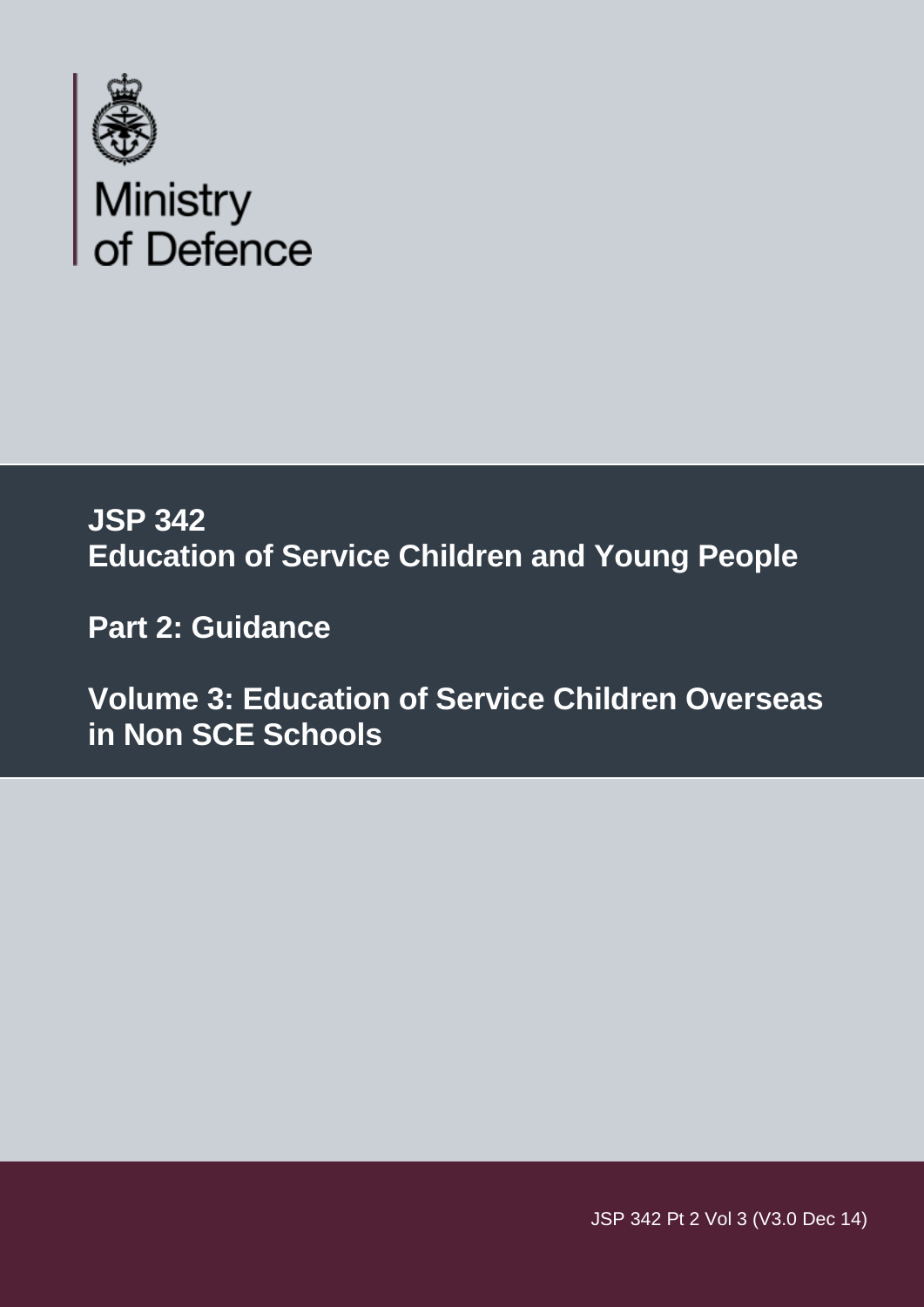

# **JSP 342 Education of Service Children and Young People**

 **Part 2: Guidance** 

 **Volume 3: Education of Service Children Overseas in Non SCE Schools** 

JSP 342 Pt 2 Vol 3 (V3.0 Dec 14)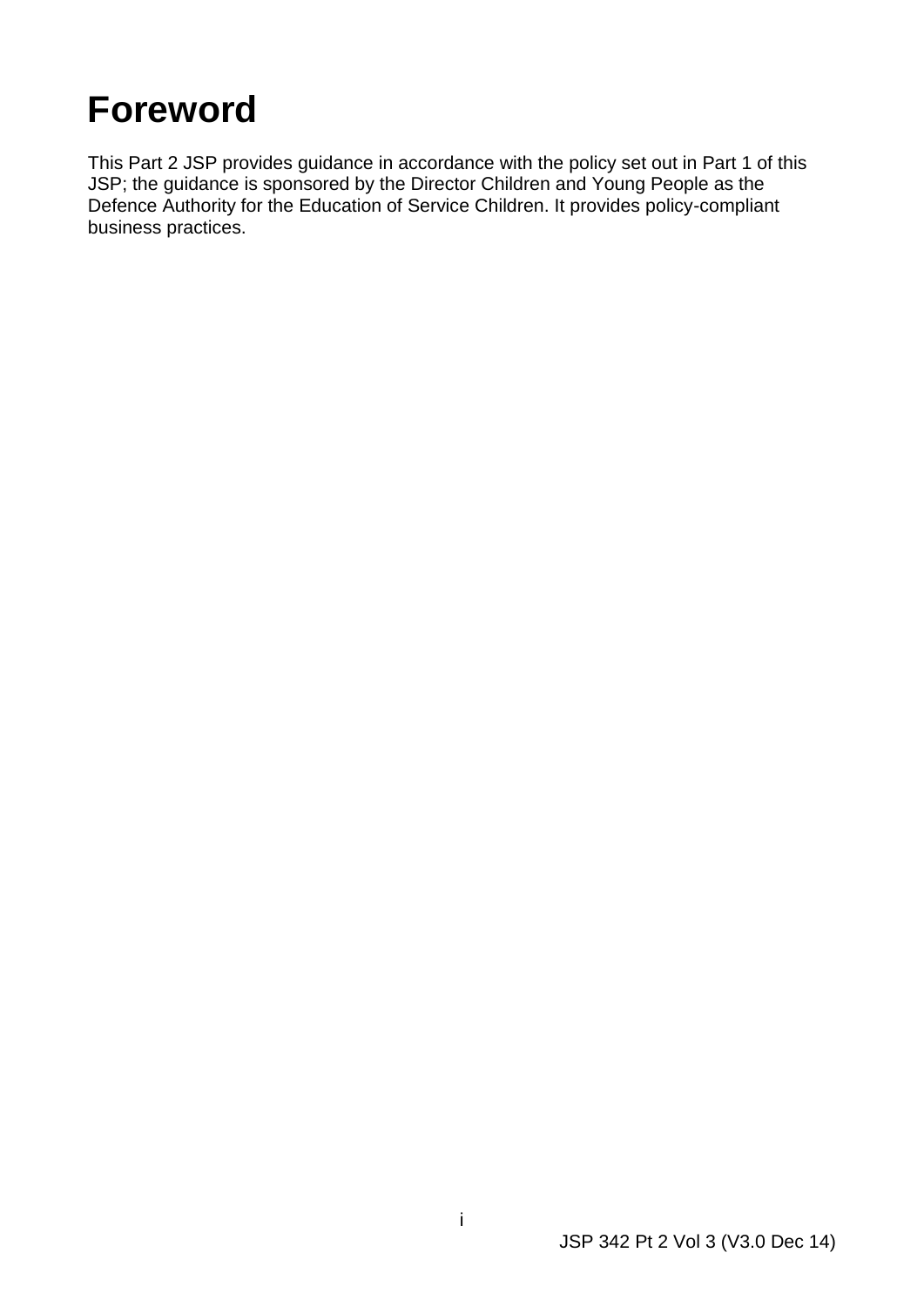# <span id="page-1-0"></span>**Foreword**

This Part 2 JSP provides guidance in accordance with the policy set out in Part 1 of this JSP; the guidance is sponsored by the Director Children and Young People as the Defence Authority for the Education of Service Children. It provides policy-compliant business practices.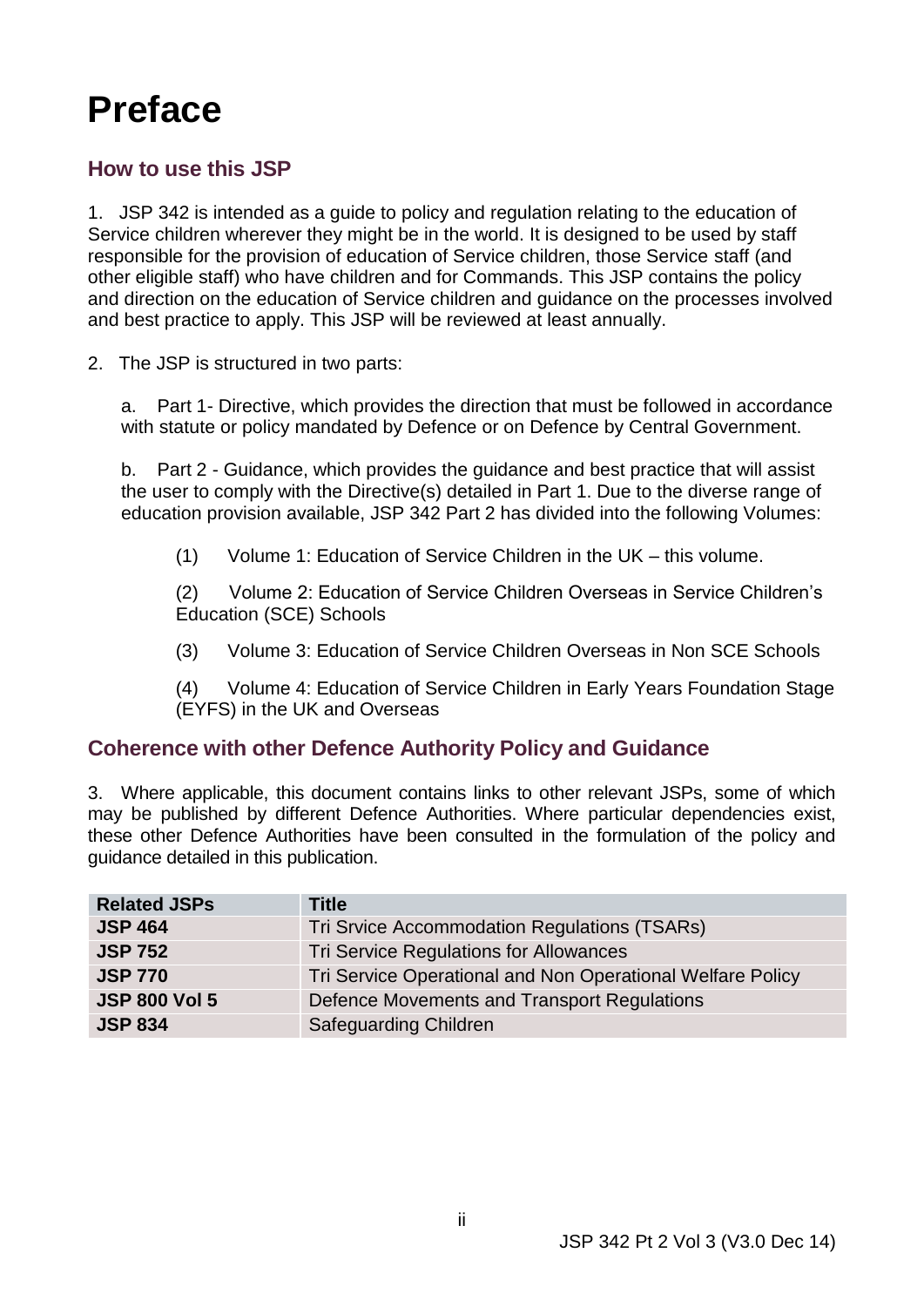# <span id="page-2-0"></span>**Preface**

# **How to use this JSP**

 1. JSP 342 is intended as a guide to policy and regulation relating to the education of responsible for the provision of education of Service children, those Service staff (and Service children wherever they might be in the world. It is designed to be used by staff other eligible staff) who have children and for Commands. This JSP contains the policy and direction on the education of Service children and guidance on the processes involved and best practice to apply. This JSP will be reviewed at least annually.

2. The JSP is structured in two parts:

a. Part 1- Directive, which provides the direction that must be followed in accordance with statute or policy mandated by Defence or on Defence by Central Government.

 $b_{-}$  the user to comply with the Directive(s) detailed in Part 1. Due to the diverse range of education provision available, JSP 342 Part 2 has divided into the following Volumes: Part 2 - Guidance, which provides the guidance and best practice that will assist

 $(1)$ Volume 1: Education of Service Children in the UK – this volume.

(2) Volume 2: Education of Service Children Overseas in Service Children's Education (SCE) Schools

 $(3)$ (3) Volume 3: Education of Service Children Overseas in Non SCE Schools

 $(4)$ (4) Volume 4: Education of Service Children in Early Years Foundation Stage (EYFS) in the UK and Overseas

# **Coherence with other Defence Authority Policy and Guidance**

 3. Where applicable, this document contains links to other relevant JSPs, some of which may be published by different Defence Authorities. Where particular dependencies exist, these other Defence Authorities have been consulted in the formulation of the policy and guidance detailed in this publication.

| <b>Related JSPs</b>  | <b>Title</b>                                               |
|----------------------|------------------------------------------------------------|
| <b>JSP 464</b>       | Tri Srvice Accommodation Regulations (TSARs)               |
| <b>JSP 752</b>       | Tri Service Regulations for Allowances                     |
| <b>JSP 770</b>       | Tri Service Operational and Non Operational Welfare Policy |
| <b>JSP 800 Vol 5</b> | Defence Movements and Transport Regulations                |
| <b>JSP 834</b>       | <b>Safeguarding Children</b>                               |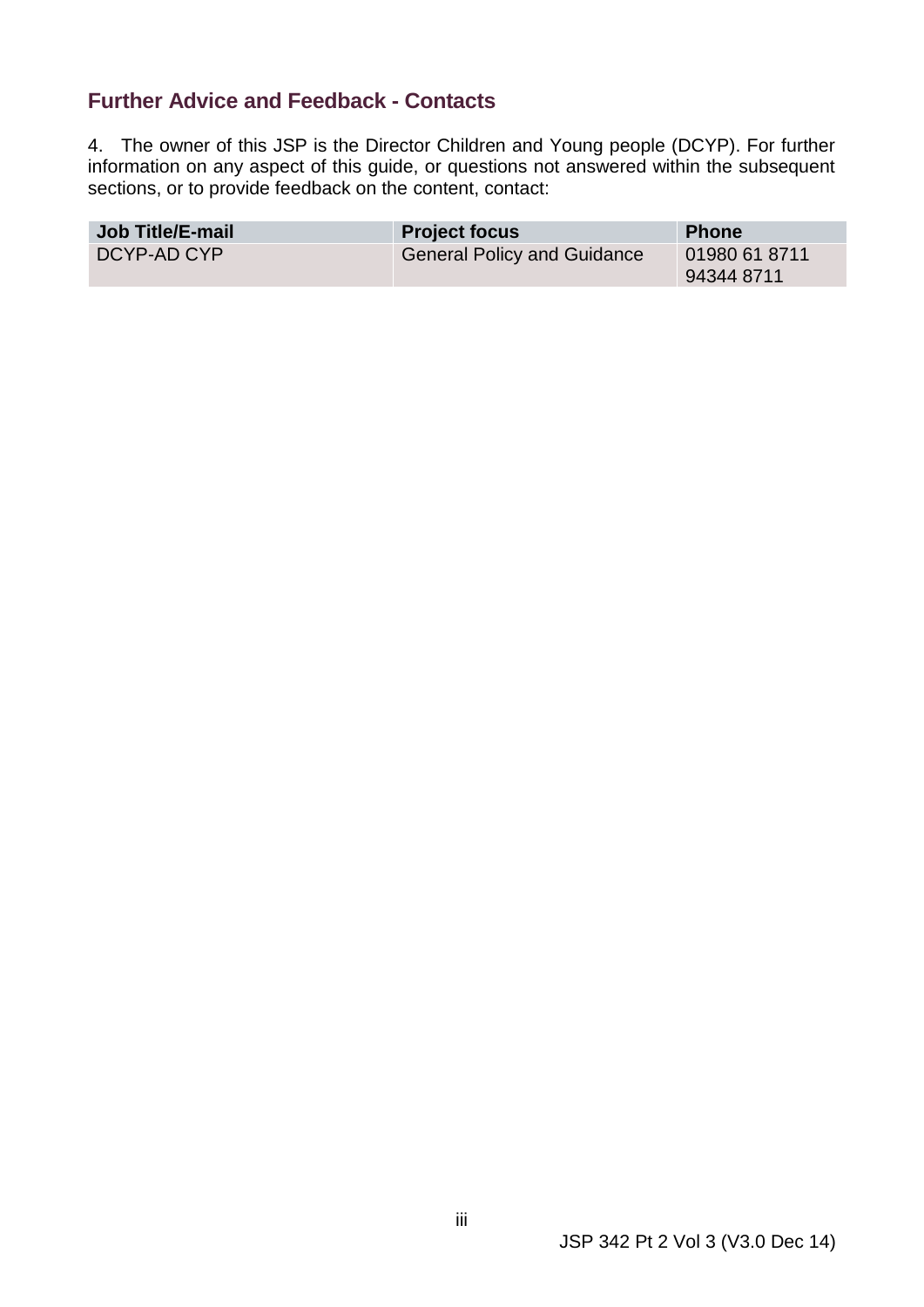# <span id="page-3-0"></span> **Further Advice and Feedback - Contacts**

 4. The owner of this JSP is the Director Children and Young people (DCYP). For further information on any aspect of this guide, or questions not answered within the subsequent sections, or to provide feedback on the content, contact:

| <b>Job Title/E-mail</b> | <b>Project focus</b>               | <b>Phone</b>                |
|-------------------------|------------------------------------|-----------------------------|
| DCYP-AD CYP             | <b>General Policy and Guidance</b> | 01980 61 8711<br>94344 8711 |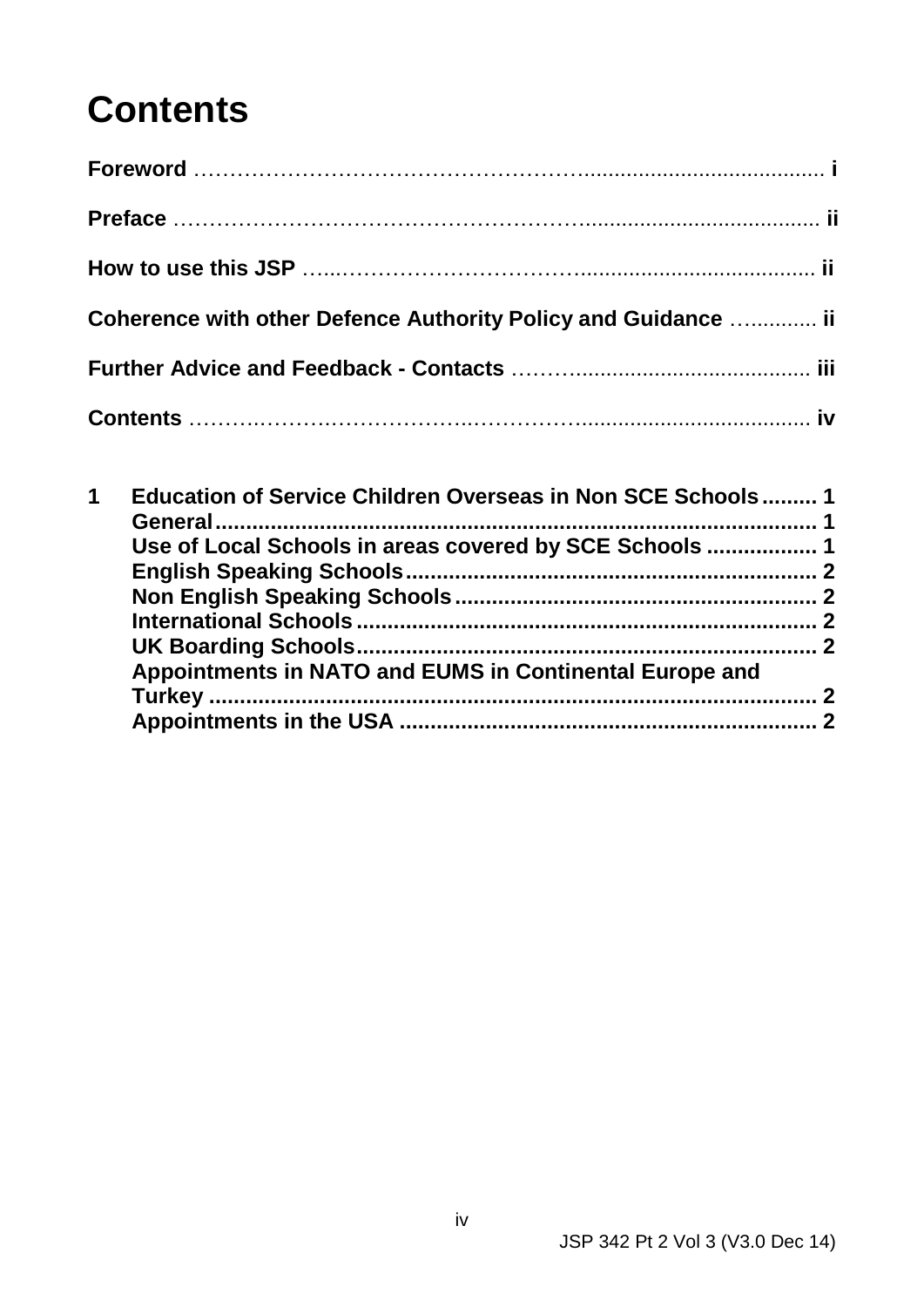# **Contents**

| Coherence with other Defence Authority Policy and Guidance  ii |  |
|----------------------------------------------------------------|--|
|                                                                |  |
|                                                                |  |

| 1 | Education of Service Children Overseas in Non SCE Schools 1 |  |
|---|-------------------------------------------------------------|--|
|   | Use of Local Schools in areas covered by SCE Schools  1     |  |
|   |                                                             |  |
|   |                                                             |  |
|   | Appointments in NATO and EUMS in Continental Europe and     |  |
|   |                                                             |  |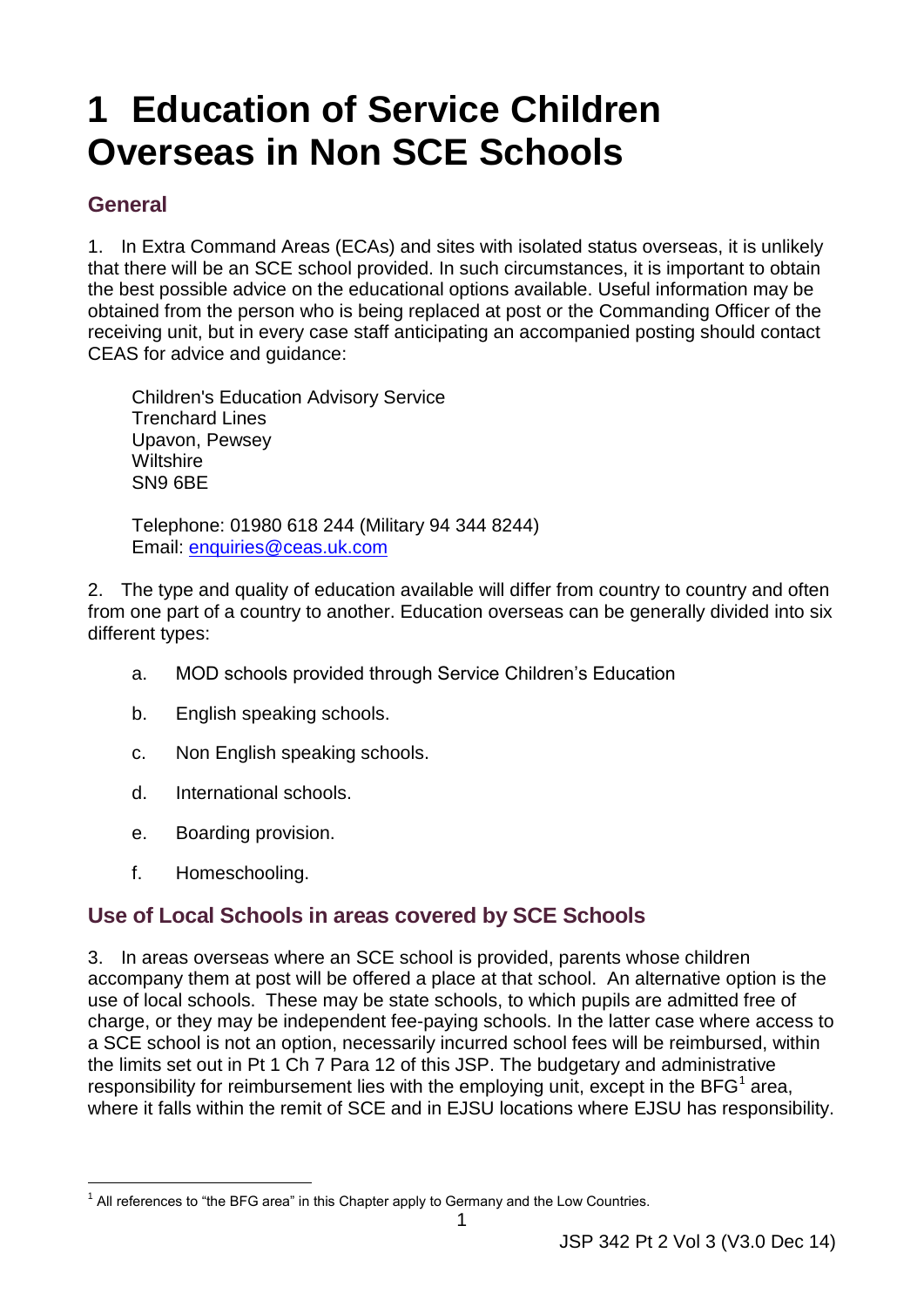# <span id="page-5-0"></span>**1 Education of Service Children Overseas in Non SCE Schools**

#### <span id="page-5-1"></span>**General**

 the best possible advice on the educational options available. Useful information may be 1. In Extra Command Areas (ECAs) and sites with isolated status overseas, it is unlikely that there will be an SCE school provided. In such circumstances, it is important to obtain obtained from the person who is being replaced at post or the Commanding Officer of the receiving unit, but in every case staff anticipating an accompanied posting should contact CEAS for advice and guidance:

 Trenchard Lines Upavon, Pewsey Wiltshire SN9 6BE Children's Education Advisory Service

 Telephone: 01980 618 244 (Military 94 344 8244) Email: [enquiries@ceas.uk.com](mailto:enquiries@ceas.uk.com)

 from one part of a country to another. Education overseas can be generally divided into six 2. The type and quality of education available will differ from country to country and often different types:

- a. MOD schools provided through Service Children's Education
- b. English speaking schools.
- c. Non English speaking schools.
- d. International schools.
- e. Boarding provision.
- f. Homeschooling.

# <span id="page-5-2"></span> **Use of Local Schools in areas covered by SCE Schools**

 use of local schools. These may be state schools, to which pupils are admitted free of where it falls within the remit of SCE and in EJSU locations where EJSU has responsibility. 1 All references to "the BFG area" in this Chapter apply to Germany and the Low Countries. 3. In areas overseas where an SCE school is provided, parents whose children accompany them at post will be offered a place at that school. An alternative option is the charge, or they may be independent fee-paying schools. In the latter case where access to a SCE school is not an option, necessarily incurred school fees will be reimbursed, within the limits set out in Pt 1 Ch 7 Para 12 of this JSP. The budgetary and administrative responsibility for reimbursement lies with the employing unit, except in the  $BFG<sup>1</sup>$  area,

<sup>-</sup>